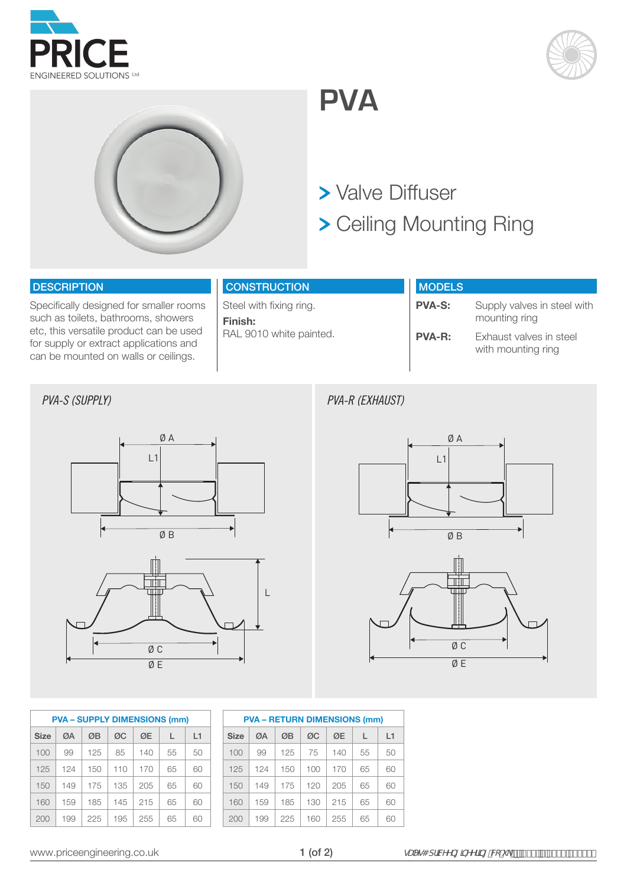





## **PVA**

### > Valve Diffuser

Ceiling Mounting Ring

#### **DESCRIPTION**

Specifically designed for smaller rooms such as toilets, bathrooms, showers etc, this versatile product can be used for supply or extract applications and can be mounted on walls or ceilings.

| <b>CONSTRUCTION</b> |  |
|---------------------|--|
|                     |  |
|                     |  |

Steel with fixing ring. **Finish:**  RAL 9010 white painted.

| <b>MODELS</b> |                                               |
|---------------|-----------------------------------------------|
| <b>PVA-S:</b> | Supply valves in steel with<br>mounting ring  |
| <b>PVA-R:</b> | Exhaust valves in steel<br>with mounting ring |

#### *PVA-S (SUPPLY)*





*PVA-R (EXHAUST)*





| <b>PVA - SUPPLY DIMENSIONS (mm)</b> |             |     |     |     |     |    |    |  |  |  |  |  |
|-------------------------------------|-------------|-----|-----|-----|-----|----|----|--|--|--|--|--|
|                                     | <b>Size</b> | ØΑ  | ØB  | ØC  | ØE  |    | L1 |  |  |  |  |  |
|                                     | 100         | 99  | 125 | 85  | 140 | 55 | 50 |  |  |  |  |  |
|                                     | 125         | 124 | 150 | 110 | 170 | 65 | 60 |  |  |  |  |  |
|                                     | 150         | 149 | 175 | 135 | 205 | 65 | 60 |  |  |  |  |  |
|                                     | 160         | 159 | 185 | 145 | 215 | 65 | 60 |  |  |  |  |  |
|                                     | 200         | 199 | 225 | 195 | 255 | 65 | ഒറ |  |  |  |  |  |

| <b>PVA - RETURN DIMENSIONS (mm)</b> |     |     |     |     |    |    |  |  |  |  |  |  |
|-------------------------------------|-----|-----|-----|-----|----|----|--|--|--|--|--|--|
| <b>Size</b>                         | ØΑ  | ØB  | ØC  | ØE  | L  | L1 |  |  |  |  |  |  |
| 100                                 | 99  | 125 | 75  | 140 | 55 | 50 |  |  |  |  |  |  |
| 125                                 | 124 | 150 | 100 | 170 | 65 | 60 |  |  |  |  |  |  |
| 150                                 | 149 | 175 | 120 | 205 | 65 | 60 |  |  |  |  |  |  |
| 160                                 | 159 | 185 | 130 | 215 | 65 | 60 |  |  |  |  |  |  |
| 200                                 | 199 | 225 | 160 | 255 | 65 | 60 |  |  |  |  |  |  |